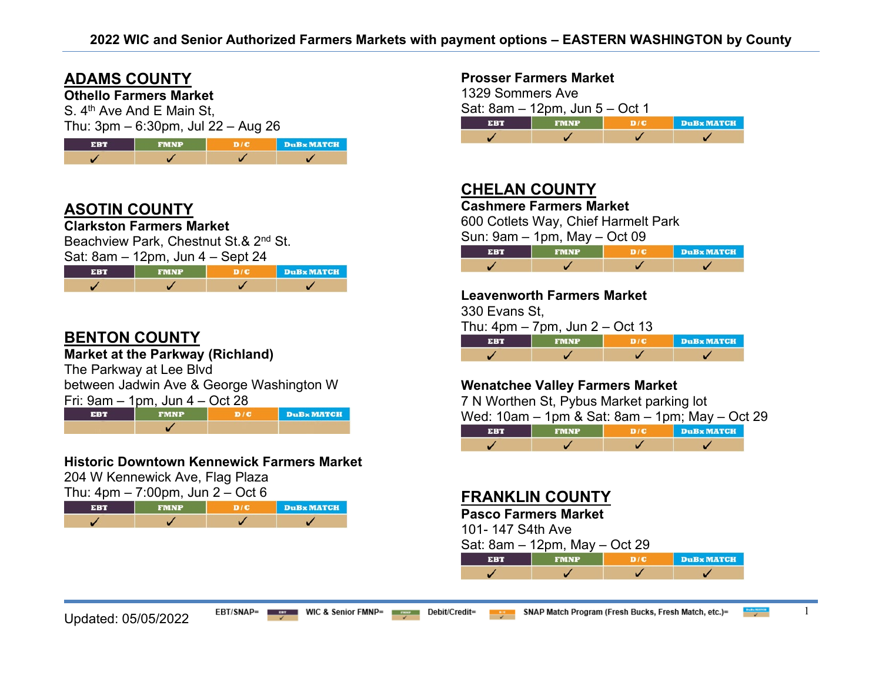H.

## **ADAMS COUNTY**

**Othello Farmers Market**

S. 4<sup>th</sup> Ave And E Main St,  $Thu: 3 \text{nm} = 6:30 \text{nm}$ ,  $\ln 22 = 0.1 \text{nm}$ 

| THU. OPHI = 0.00pHI, JUI ZZ = Aug ZO |             |                                 |          |  |
|--------------------------------------|-------------|---------------------------------|----------|--|
| <b>EBT</b>                           | <b>FMNP</b> | $\blacksquare$ D $\blacksquare$ | DuBx MAT |  |

## **ASOTIN COUNTY**

**Clarkston Farmers Market**

Beachview Park, Chestnut St.& 2<sup>nd</sup> St.

| Sat: $8am - 12pm$ , Jun $4 - Sept 24$ |
|---------------------------------------|
|---------------------------------------|

| ERT | FMNP | DuBx MATCH |
|-----|------|------------|
|     |      |            |

## **BENTON COUNTY**

**Market at the Parkway (Richland)**

The Parkway at Lee Blvd

between Jadwin Ave & George Washington W

| Fri: 9am – 1pm, Jun 4 – Oct 28 |  |
|--------------------------------|--|
|                                |  |

EBT **FMNP**  $D/C$ **DuBx MATCH**  $\checkmark$ 

### **Historic Downtown Kennewick Farmers Market**

204 W Kennewick Ave, Flag Plaza

| Thu: $4pm - 7:00pm$ , Jun $2 - Oct 6$ |             |     |            |
|---------------------------------------|-------------|-----|------------|
| <b>EBT</b>                            | <b>EMNP</b> | D/E | DuBx MATCH |
|                                       |             |     |            |

#### **Prosser Farmers Market**

1329 Sommers Ave Sat:  $8am - 12pm$ , Jun 5 – Oct 1  $D/C$ **DuB** MATCH **EBT** J ✓  $\overline{\mathscr{L}}$  $\checkmark$ 

# **CHELAN COUNTY**

**Cashmere Farmers Market**

600 Cotlets Way, Chief Harmelt Park

Sun: 9am – 1pm, May – Oct 09

| 31:4 V | <b>FMNP</b> | DuBx MATCH |
|--------|-------------|------------|
|        |             |            |

#### **Leavenworth Farmers Market**

330 Evans St,

Thu:  $4pm - 7pm$ , Jun  $2 - Oct$  13

| <b>SER</b> | <b>FMNP</b> | DuBx MATCH |
|------------|-------------|------------|
|            |             |            |

## **Wenatchee Valley Farmers Market**

7 N Worthen St, Pybus Market parking lot

Wed: 10am – 1pm & Sat: 8am – 1pm; May – Oct 29

|  | DuBx MATCH |
|--|------------|
|  |            |

## **FRANKLIN COUNTY**

#### **Pasco Farmers Market**

101- 147 S4th Ave

| Sat: 8am – 12pm, May – Oct 29 |  |  |  |
|-------------------------------|--|--|--|
|-------------------------------|--|--|--|

| 51 R T | FMNP | <b>DuB</b> x MATCH |
|--------|------|--------------------|
|        |      |                    |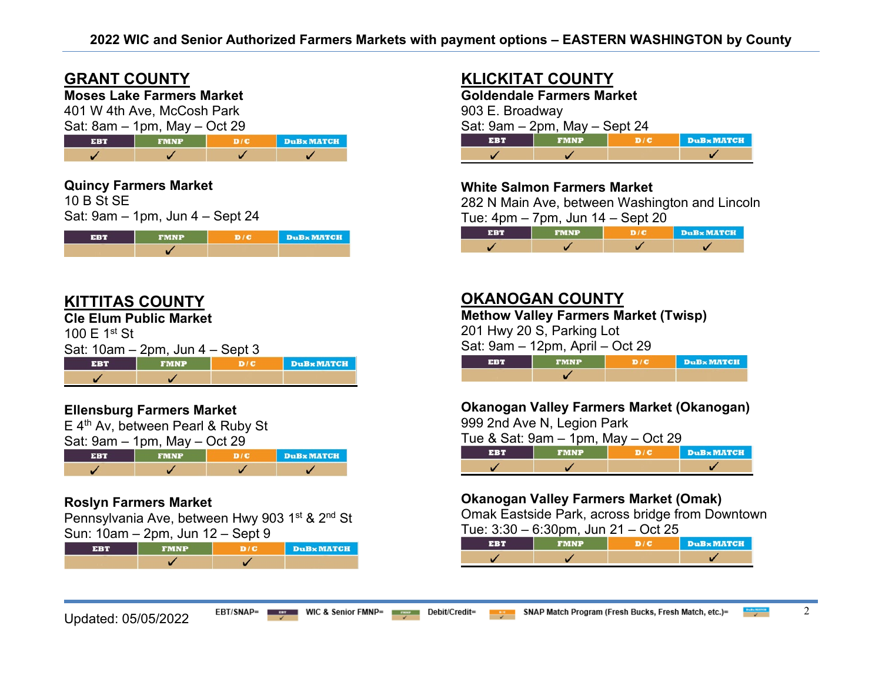# **GRANT COUNTY**

## **Moses Lake Farmers Market**

401 W 4th Ave, McCosh Park  $Sat: 8am = 1nm$  May  $=$  Oct 29

| $\theta$ oals $\theta$ is the state of $\theta$ is the state of $\theta$ |             |  |            |
|--------------------------------------------------------------------------|-------------|--|------------|
| <b>FBT</b>                                                               | <b>FMNP</b> |  | DuBx MATCH |
|                                                                          |             |  |            |

## **Quincy Farmers Market**

10 B St SE Sat: 9am – 1pm, Jun 4 – Sept 24

| 4 SH 2 M 3 | <b>FMNP</b> | <b>DuBx MATCH</b> |
|------------|-------------|-------------------|
|            |             |                   |

## **KITTITAS COUNTY**

**Cle Elum Public Market**

100 E 1st St

|  | Sat: 10am – 2pm, Jun 4 – Sept 3 |
|--|---------------------------------|
|  |                                 |

| $-3.542$ | SMNP | <b>DuB</b> <sub>x</sub> MATCH |
|----------|------|-------------------------------|
|          |      |                               |

## **Ellensburg Farmers Market**

E 4<sup>th</sup> Av, between Pearl & Ruby St



### **Roslyn Farmers Market**

Pennsylvania Ave, between Hwy 903 1<sup>st</sup> & 2<sup>nd</sup> St Sun: 10am – 2pm, Jun 12 – Sept 9

|  | <b>DuB</b> <sub>x</sub> MATCH |
|--|-------------------------------|
|  |                               |

# **KLICKITAT COUNTY**

**Goldendale Farmers Market** 903 E. Broadway Sat: 9am – 2pm, May – Sept 24 **EBT FMNP**  $D/C$ **DuB**x MATCH ✓  $\checkmark$ ✓

## **White Salmon Farmers Market**

282 N Main Ave, between Washington and Lincoln Tue:  $4 \text{nm} - 7 \text{nm}$ , Jun  $14 -$  Sept  $20$ 

| .      |             | $-$ - $-$ - $-$ |                   |
|--------|-------------|-----------------|-------------------|
| 31 M T | <b>FMNP</b> |                 | <b>DuBx MATCH</b> |
|        |             |                 |                   |

## **OKANOGAN COUNTY**

**Methow Valley Farmers Market (Twisp)** 

201 Hwy 20 S, Parking Lot

Sat: 9am – 12pm, April – Oct 29

| se s | <b>FMND</b> | <b>DuB</b> MATCH |
|------|-------------|------------------|
|      |             |                  |

## **Okanogan Valley Farmers Market (Okanogan)**

999 2nd Ave N, Legion Park

Tue & Sat: 9am – 1pm, May – Oct 29

|  | . | <b>DuBx MATCH</b> |
|--|---|-------------------|
|  |   |                   |

## **Okanogan Valley Farmers Market (Omak)**

Omak Eastside Park, across bridge from Downtown

Tue:  $3:30 - 6:30$ pm, Jun  $21 - Oct$  25

|  | <b>DuBx MATCH</b> |
|--|-------------------|
|  |                   |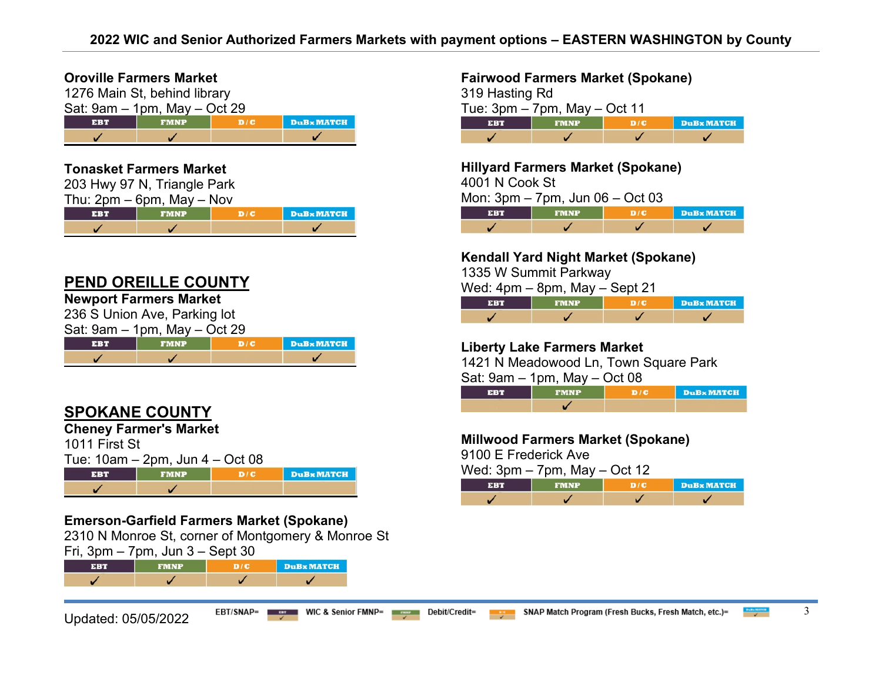#### **Oroville Farmers Market**

| 1276 Main St, behind library                          |  |  |  |  |  |
|-------------------------------------------------------|--|--|--|--|--|
| Sat: $9am - 1pm$ , May $-$ Oct 29                     |  |  |  |  |  |
| <b>DuBx MATCH</b><br>D/C<br><b>EBT</b><br><b>FMNP</b> |  |  |  |  |  |
|                                                       |  |  |  |  |  |

#### **Tonasket Farmers Market**

|     | 203 Hwy 97 N, Triangle Park    |     |          |
|-----|--------------------------------|-----|----------|
|     | Thu: $2pm - 6pm$ , May $-$ Nov |     |          |
| EBT | <b>FMNP</b>                    | D/C | DuBx MAT |
|     |                                |     |          |

## **PEND OREILLE COUNTY**

## **Newport Farmers Market**

236 S Union Ave, Parking lot  $Sat: 0$ am 1pm,  $Mau$ ,  $\tilde{Q}$ ct 20

| $\mathsf{Gal}$ . $\mathsf{Gal} \mathsf{H} = \mathsf{I}\mathsf{H} \mathsf{H}$ , May $\mathsf{H} \cup \mathsf{GL}$ 29 |  |  |                   |
|---------------------------------------------------------------------------------------------------------------------|--|--|-------------------|
|                                                                                                                     |  |  | <b>DuBx</b> MATCH |
|                                                                                                                     |  |  |                   |

# **SPOKANE COUNTY**

**Cheney Farmer's Market** 

| 1011 First St                        |  |  |                  |  |  |
|--------------------------------------|--|--|------------------|--|--|
| Tue: $10am - 2pm$ , Jun $4 - Oct 08$ |  |  |                  |  |  |
| D/C<br><b>EBT</b><br><b>FMNP</b>     |  |  | <b>DuBxMATCH</b> |  |  |
|                                      |  |  |                  |  |  |

## **Emerson-Garfield Farmers Market (Spokane)**

2310 N Monroe St, corner of Montgomery & Monroe St Fri, 3pm – 7pm, Jun 3 – Sept 30

|  | <b>DuBx MATCH</b> |
|--|-------------------|
|  |                   |

#### **Fairwood Farmers Market (Spokane)**

| 319 Hasting Rd |                                   |     |                   |
|----------------|-----------------------------------|-----|-------------------|
|                | Tue: $3pm - 7pm$ , May $-$ Oct 11 |     |                   |
| <b>EBT</b>     | <b>FMNP</b>                       | D/C | <b>DuBx MATCH</b> |
|                |                                   |     |                   |

**Hillyard Farmers Market (Spokane)** 

4001 N Cook St

Mon: 3pm – 7pm, Jun 06 – Oct 03

| ERT | <b>FMNP</b> | <b>DuBx MATCH</b> |
|-----|-------------|-------------------|
|     |             |                   |

### **Kendall Yard Night Market (Spokane)**

1335 W Summit Parkway

Wed: 4pm – 8pm, May – Sept 21

| <b>EBT</b> | <b>FMNP</b> | DuBx MATCH |
|------------|-------------|------------|
|            |             |            |

## **Liberty Lake Farmers Market**

1421 N Meadowood Ln, Town Square Park

Sat: 9am – 1pm, May – Oct 08

| <b>EBT</b> | <b>FMNP</b> | D/C | DuBx MATCH |
|------------|-------------|-----|------------|
|            |             |     |            |

#### **Millwood Farmers Market (Spokane)**

9100 E Frederick Ave

Wed: 3pm – 7pm, May – Oct 12

|  | DuBx MATCH |
|--|------------|
|  |            |

**CH**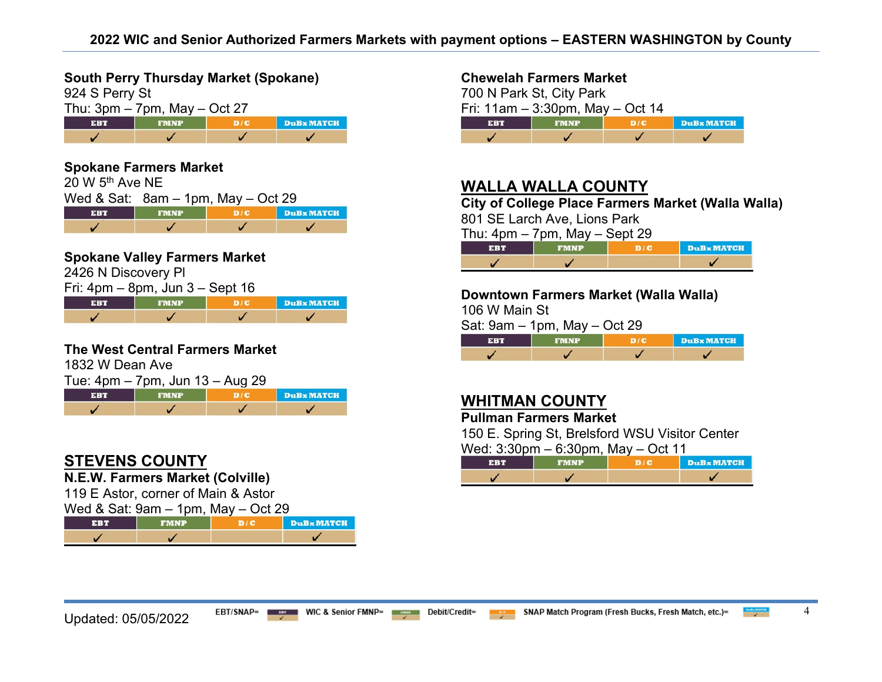**South Perry Thursday Market (Spokane)** 

| 924 S Perry St                    |             |     |                   |
|-----------------------------------|-------------|-----|-------------------|
| Thu: $3pm - 7pm$ , May $-$ Oct 27 |             |     |                   |
| <b>EBT</b>                        | <b>FMNP</b> | D/C | <b>DuBx MATCH</b> |
|                                   |             |     |                   |

#### **Spokane Farmers Market**   $20 W 5<sup>th</sup>$  Ave NE Wed & Sat: 8am – 1pm, May – Oct 29 **FMNP EBT**  $D/C$ **DuB MATCH** ✓  $\checkmark$  $\checkmark$

#### **Spokane Valley Farmers Market**

2426 N Discovery Pl

| Fri: $4\text{pm} - 8\text{pm}$ , Jun $3 -$ Sept 16 |             |  |            |  |
|----------------------------------------------------|-------------|--|------------|--|
| EBT                                                | <b>FMNP</b> |  | DuBx MATCH |  |
|                                                    |             |  |            |  |

#### **The West Central Farmers Market**

1832 W Dean Ave

| Tue: 4pm – 7pm, Jun 13 – Aug 29 |             |  |            |  |
|---------------------------------|-------------|--|------------|--|
| <b>EBT</b>                      | <b>FMNP</b> |  | DuBx MATCH |  |
|                                 |             |  |            |  |

# **STEVENS COUNTY**

**N.E.W. Farmers Market (Colville)**

119 E Astor, corner of Main & Astor

Wed & Sat: 9am – 1pm, May – Oct 29

|  | <b>DuRx MATCH</b> |
|--|-------------------|
|  |                   |

#### **Chewelah Farmers Market**

700 N Park St, City Park Fri: 11am – 3:30pm, May – Oct 14 **EBT**  $D/C$ **DuB** MATCH J V  $\checkmark$  $\overline{\mathscr{L}}$ 

# **WALLA WALLA COUNTY**

**City of College Place Farmers Market (Walla Walla)** 

801 SE Larch Ave, Lions Park

Thu:  $4$ pm – 7pm, May – Sept 29

| $\sim$ | <b>DuB</b> <sub>x</sub> MATCH |
|--------|-------------------------------|
|        |                               |

#### **Downtown Farmers Market (Walla Walla)**

106 W Main St

Sat: 9am – 1pm, May – Oct 29

|  | <b>DuBx MATCH</b> |
|--|-------------------|
|  |                   |

# **WHITMAN COUNTY**

**Pullman Farmers Market** 

150 E. Spring St, Brelsford WSU Visitor Center Wed: 3:30pm – 6:30pm, May – Oct 11

| $\alpha$ and $\alpha$ is superimed to superificant with $\alpha$ |             |  |            |  |  |
|------------------------------------------------------------------|-------------|--|------------|--|--|
| ERT                                                              | <b>FMNP</b> |  | DuBx MATCH |  |  |
|                                                                  |             |  |            |  |  |